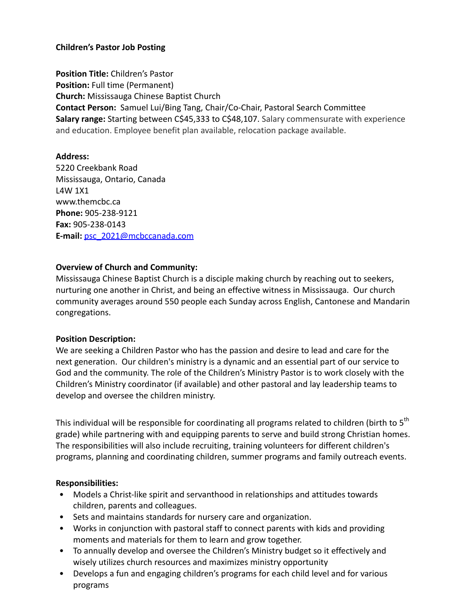# **Children's Pastor Job Posting**

**Position Title:** Children's Pastor **Position:** Full time (Permanent) **Church:** Mississauga Chinese Baptist Church **Contact Person:** Samuel Lui/Bing Tang, Chair/Co-Chair, Pastoral Search Committee **Salary range:** Starting between C\$45,333 to C\$48,107. Salary commensurate with experience and education. Employee benefit plan available, relocation package available.

## **Address:**

5220 Creekbank Road Mississauga, Ontario, Canada L4W 1X1 www.themcbc.ca **Phone:** 905-238-9121 **Fax:** 905-238-0143 **E-mail:** psc\_2021@mcbccanada.com

## **Overview of Church and Community:**

Mississauga Chinese Baptist Church is a disciple making church by reaching out to seekers, nurturing one another in Christ, and being an effective witness in Mississauga. Our church community averages around 550 people each Sunday across English, Cantonese and Mandarin congregations.

## **Position Description:**

We are seeking a Children Pastor who has the passion and desire to lead and care for the next generation. Our children's ministry is a dynamic and an essential part of our service to God and the community. The role of the Children's Ministry Pastor is to work closely with the Children's Ministry coordinator (if available) and other pastoral and lay leadership teams to develop and oversee the children ministry.

This individual will be responsible for coordinating all programs related to children (birth to 5<sup>th</sup> grade) while partnering with and equipping parents to serve and build strong Christian homes. The responsibilities will also include recruiting, training volunteers for different children's programs, planning and coordinating children, summer programs and family outreach events.

## **Responsibilities:**

- Models a Christ-like spirit and servanthood in relationships and attitudes towards children, parents and colleagues.
- Sets and maintains standards for nursery care and organization.
- Works in conjunction with pastoral staff to connect parents with kids and providing moments and materials for them to learn and grow together.
- To annually develop and oversee the Children's Ministry budget so it effectively and wisely utilizes church resources and maximizes ministry opportunity
- Develops a fun and engaging children's programs for each child level and for various programs